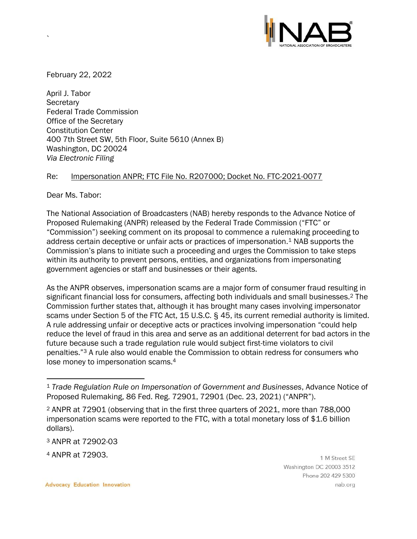

February 22, 2022

`

April J. Tabor **Secretary** Federal Trade Commission Office of the Secretary Constitution Center 400 7th Street SW, 5th Floor, Suite 5610 (Annex B) Washington, DC 20024 *Via Electronic Filing*

## Re: Impersonation ANPR; FTC File No. R207000; Docket No. [FTC-2021-0077](https://www.regulations.gov/docket/FTC-2021-0077)

Dear Ms. Tabor:

The National Association of Broadcasters (NAB) hereby responds to the Advance Notice of Proposed Rulemaking (ANPR) released by the Federal Trade Commission ("FTC" or "Commission") seeking comment on its proposal to commence a rulemaking proceeding to address certain deceptive or unfair acts or practices of impersonation.<sup>1</sup> NAB supports the Commission's plans to initiate such a proceeding and urges the Commission to take steps within its authority to prevent persons, entities, and organizations from impersonating government agencies or staff and businesses or their agents.

As the ANPR observes, impersonation scams are a major form of consumer fraud resulting in significant financial loss for consumers, affecting both individuals and small businesses. <sup>2</sup> The Commission further states that, although it has brought many cases involving impersonator scams under Section 5 of the FTC Act, [15 U.S.C. § 45,](https://www.govinfo.gov/link/uscode/15/45?type=usc&year=mostrecent&link-type=html) its current remedial authority is limited. A rule addressing unfair or deceptive acts or practices involving impersonation "could help reduce the level of fraud in this area and serve as an additional deterrent for bad actors in the future because such a trade regulation rule would subject first-time violators to civil penalties." <sup>3</sup> A rule also would enable the Commission to obtain redress for consumers who lose money to impersonation scams. 4

<sup>3</sup> ANPR at 72902-03

<sup>4</sup> ANPR at 72903.

1 M Street SE Washington DC 20003 3512 Phone 202 429 5300 nab.org

<sup>1</sup> *Trade Regulation Rule on Impersonation of Government and Businesses*, Advance Notice of Proposed Rulemaking, 86 Fed. Reg. 72901, 72901 (Dec. 23, 2021) ("ANPR").

<sup>2</sup> ANPR at 72901 (observing that in the first three quarters of 2021, more than 788,000 impersonation scams were reported to the FTC, with a total monetary loss of \$1.6 billion dollars).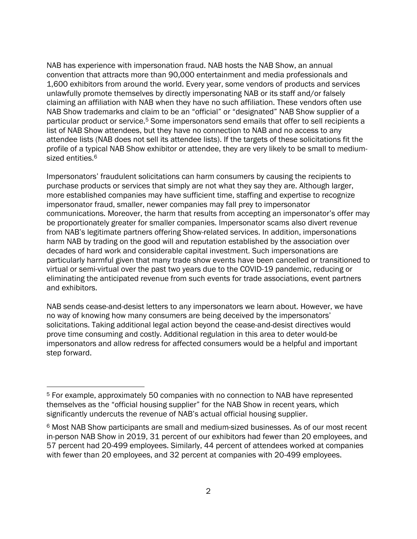NAB has experience with impersonation fraud. NAB hosts the NAB Show, an annual convention that attracts more than 90,000 entertainment and media professionals and 1,600 exhibitors from around the world. Every year, some vendors of products and services unlawfully promote themselves by directly impersonating NAB or its staff and/or falsely claiming an affiliation with NAB when they have no such affiliation. These vendors often use NAB Show trademarks and claim to be an "official" or "designated" NAB Show supplier of a particular product or service.<sup>5</sup> Some impersonators send emails that offer to sell recipients a list of NAB Show attendees, but they have no connection to NAB and no access to any attendee lists (NAB does not sell its attendee lists). If the targets of these solicitations fit the profile of a typical NAB Show exhibitor or attendee, they are very likely to be small to mediumsized entities. 6

Impersonators' fraudulent solicitations can harm consumers by causing the recipients to purchase products or services that simply are not what they say they are. Although larger, more established companies may have sufficient time, staffing and expertise to recognize impersonator fraud, smaller, newer companies may fall prey to impersonator communications. Moreover, the harm that results from accepting an impersonator's offer may be proportionately greater for smaller companies. Impersonator scams also divert revenue from NAB's legitimate partners offering Show-related services. In addition, impersonations harm NAB by trading on the good will and reputation established by the association over decades of hard work and considerable capital investment. Such impersonations are particularly harmful given that many trade show events have been cancelled or transitioned to virtual or semi-virtual over the past two years due to the COVID-19 pandemic, reducing or eliminating the anticipated revenue from such events for trade associations, event partners and exhibitors.

NAB sends cease-and-desist letters to any impersonators we learn about. However, we have no way of knowing how many consumers are being deceived by the impersonators' solicitations. Taking additional legal action beyond the cease-and-desist directives would prove time consuming and costly. Additional regulation in this area to deter would-be impersonators and allow redress for affected consumers would be a helpful and important step forward.

<sup>5</sup> For example, approximately 50 companies with no connection to NAB have represented themselves as the "official housing supplier" for the NAB Show in recent years, which significantly undercuts the revenue of NAB's actual official housing supplier.

<sup>6</sup> Most NAB Show participants are small and medium-sized businesses. As of our most recent in-person NAB Show in 2019, 31 percent of our exhibitors had fewer than 20 employees, and 57 percent had 20-499 employees. Similarly, 44 percent of attendees worked at companies with fewer than 20 employees, and 32 percent at companies with 20-499 employees.